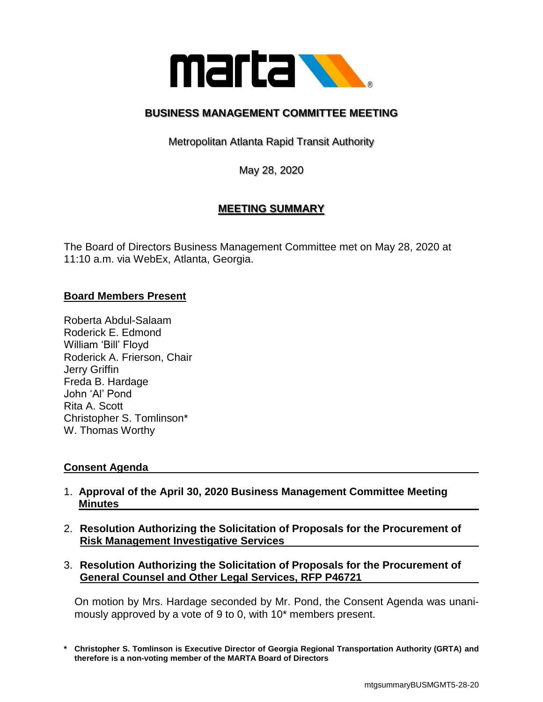

# **BUSINESS MANAGEMENT COMMITTEE MEETING**

Metropolitan Atlanta Rapid Transit Authority

May 28, 2020

# **MEETING SUMMARY**

The Board of Directors Business Management Committee met on May 28, 2020 at 11:10 a.m. via WebEx, Atlanta, Georgia.

# **Board Members Present**

Roberta Abdul-Salaam Roderick E. Edmond William 'Bill' Floyd Roderick A. Frierson, Chair Jerry Griffin Freda B. Hardage John 'Al' Pond Rita A. Scott Christopher S. Tomlinson\* W. Thomas Worthy

# **Consent Agenda**

- 1. **Approval of the April 30, 2020 Business Management Committee Meeting Minutes**
- 2. **Resolution Authorizing the Solicitation of Proposals for the Procurement of Risk Management Investigative Services**
- 3. **Resolution Authorizing the Solicitation of Proposals for the Procurement of General Counsel and Other Legal Services, RFP P46721**

On motion by Mrs. Hardage seconded by Mr. Pond, the Consent Agenda was unanimously approved by a vote of 9 to 0, with 10\* members present.

**<sup>\*</sup> Christopher S. Tomlinson is Executive Director of Georgia Regional Transportation Authority (GRTA) and therefore is a non-voting member of the MARTA Board of Directors**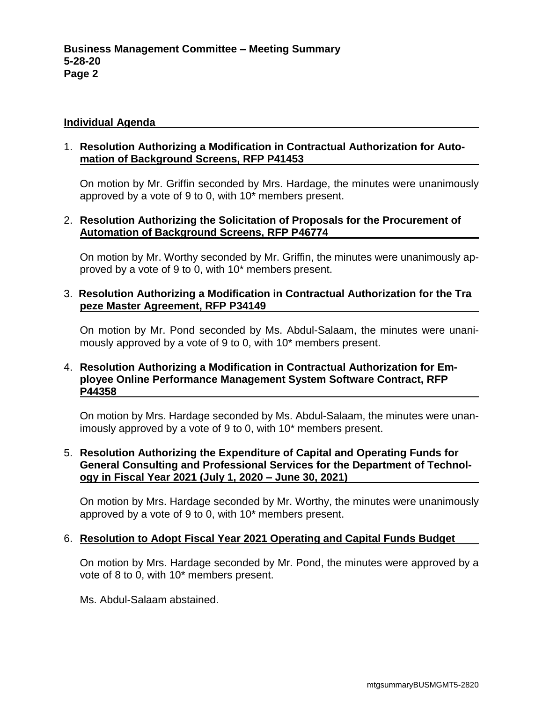#### **Individual Agenda**

#### 1. **Resolution Authorizing a Modification in Contractual Authorization for Automation of Background Screens, RFP P41453**

On motion by Mr. Griffin seconded by Mrs. Hardage, the minutes were unanimously approved by a vote of 9 to 0, with 10\* members present.

#### 2. **Resolution Authorizing the Solicitation of Proposals for the Procurement of Automation of Background Screens, RFP P46774**

On motion by Mr. Worthy seconded by Mr. Griffin, the minutes were unanimously approved by a vote of 9 to 0, with 10\* members present.

### 3. **Resolution Authorizing a Modification in Contractual Authorization for the Tra peze Master Agreement, RFP P34149**

On motion by Mr. Pond seconded by Ms. Abdul-Salaam, the minutes were unanimously approved by a vote of 9 to 0, with 10\* members present.

# 4. **Resolution Authorizing a Modification in Contractual Authorization for Employee Online Performance Management System Software Contract, RFP P44358**

On motion by Mrs. Hardage seconded by Ms. Abdul-Salaam, the minutes were unanimously approved by a vote of 9 to 0, with 10\* members present.

# 5. **Resolution Authorizing the Expenditure of Capital and Operating Funds for General Consulting and Professional Services for the Department of Technology in Fiscal Year 2021 (July 1, 2020 – June 30, 2021)**

On motion by Mrs. Hardage seconded by Mr. Worthy, the minutes were unanimously approved by a vote of 9 to 0, with 10\* members present.

# 6. **Resolution to Adopt Fiscal Year 2021 Operating and Capital Funds Budget**

On motion by Mrs. Hardage seconded by Mr. Pond, the minutes were approved by a vote of 8 to 0, with 10\* members present.

Ms. Abdul-Salaam abstained.